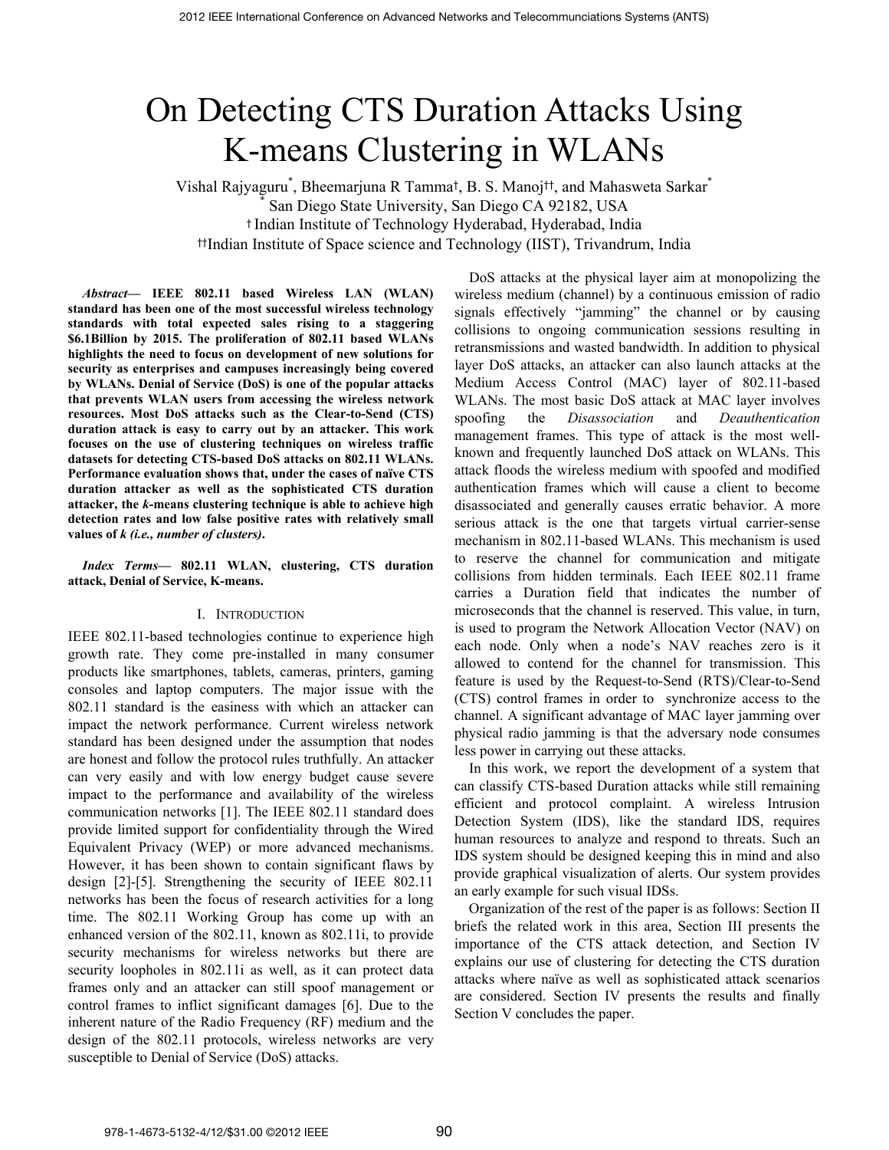# On Detecting CTS Duration Attacks Using K-means Clustering in WLANs

Vishal Rajyaguru\* , Bheemarjuna R Tamma†, B. S. Manoj††, and Mahasweta Sarkar\* \* San Diego State University, San Diego CA 92182, USA † Indian Institute of Technology Hyderabad, Hyderabad, India ††Indian Institute of Space science and Technology (IIST), Trivandrum, India

*Abstract***— IEEE 802.11 based Wireless LAN (WLAN) standard has been one of the most successful wireless technology standards with total expected sales rising to a staggering \$6.1Billion by 2015. The proliferation of 802.11 based WLANs highlights the need to focus on development of new solutions for security as enterprises and campuses increasingly being covered by WLANs. Denial of Service (DoS) is one of the popular attacks that prevents WLAN users from accessing the wireless network resources. Most DoS attacks such as the Clear-to-Send (CTS) duration attack is easy to carry out by an attacker. This work focuses on the use of clustering techniques on wireless traffic datasets for detecting CTS-based DoS attacks on 802.11 WLANs. Performance evaluation shows that, under the cases of naïve CTS duration attacker as well as the sophisticated CTS duration attacker, the** *k***-means clustering technique is able to achieve high detection rates and low false positive rates with relatively small values of** *k (i.e., number of clusters)***.** 

*Index Terms***— 802.11 WLAN, clustering, CTS duration attack, Denial of Service, K-means.** 

## I. INTRODUCTION

IEEE 802.11-based technologies continue to experience high growth rate. They come pre-installed in many consumer products like smartphones, tablets, cameras, printers, gaming consoles and laptop computers. The major issue with the 802.11 standard is the easiness with which an attacker can impact the network performance. Current wireless network standard has been designed under the assumption that nodes are honest and follow the protocol rules truthfully. An attacker can very easily and with low energy budget cause severe impact to the performance and availability of the wireless communication networks [1]. The IEEE 802.11 standard does provide limited support for confidentiality through the Wired Equivalent Privacy (WEP) or more advanced mechanisms. However, it has been shown to contain significant flaws by design [2]-[5]. Strengthening the security of IEEE 802.11 networks has been the focus of research activities for a long time. The 802.11 Working Group has come up with an enhanced version of the 802.11, known as 802.11i, to provide security mechanisms for wireless networks but there are security loopholes in 802.11i as well, as it can protect data frames only and an attacker can still spoof management or control frames to inflict significant damages [6]. Due to the inherent nature of the Radio Frequency (RF) medium and the design of the 802.11 protocols, wireless networks are very susceptible to Denial of Service (DoS) attacks.

DoS attacks at the physical layer aim at monopolizing the wireless medium (channel) by a continuous emission of radio signals effectively "jamming" the channel or by causing collisions to ongoing communication sessions resulting in retransmissions and wasted bandwidth. In addition to physical layer DoS attacks, an attacker can also launch attacks at the Medium Access Control (MAC) layer of 802.11-based WLANs. The most basic DoS attack at MAC layer involves spoofing the *Disassociation* and *Deauthentication* management frames. This type of attack is the most wellknown and frequently launched DoS attack on WLANs. This attack floods the wireless medium with spoofed and modified authentication frames which will cause a client to become disassociated and generally causes erratic behavior. A more serious attack is the one that targets virtual carrier-sense mechanism in 802.11-based WLANs. This mechanism is used to reserve the channel for communication and mitigate collisions from hidden terminals. Each IEEE 802.11 frame carries a Duration field that indicates the number of microseconds that the channel is reserved. This value, in turn, is used to program the Network Allocation Vector (NAV) on each node. Only when a node's NAV reaches zero is it allowed to contend for the channel for transmission. This feature is used by the Request-to-Send (RTS)/Clear-to-Send (CTS) control frames in order to synchronize access to the channel. A significant advantage of MAC layer jamming over physical radio jamming is that the adversary node consumes less power in carrying out these attacks.

In this work, we report the development of a system that can classify CTS-based Duration attacks while still remaining efficient and protocol complaint. A wireless Intrusion Detection System (IDS), like the standard IDS, requires human resources to analyze and respond to threats. Such an IDS system should be designed keeping this in mind and also provide graphical visualization of alerts. Our system provides an early example for such visual IDSs.

Organization of the rest of the paper is as follows: Section II briefs the related work in this area, Section III presents the importance of the CTS attack detection, and Section IV explains our use of clustering for detecting the CTS duration attacks where naïve as well as sophisticated attack scenarios are considered. Section IV presents the results and finally Section V concludes the paper.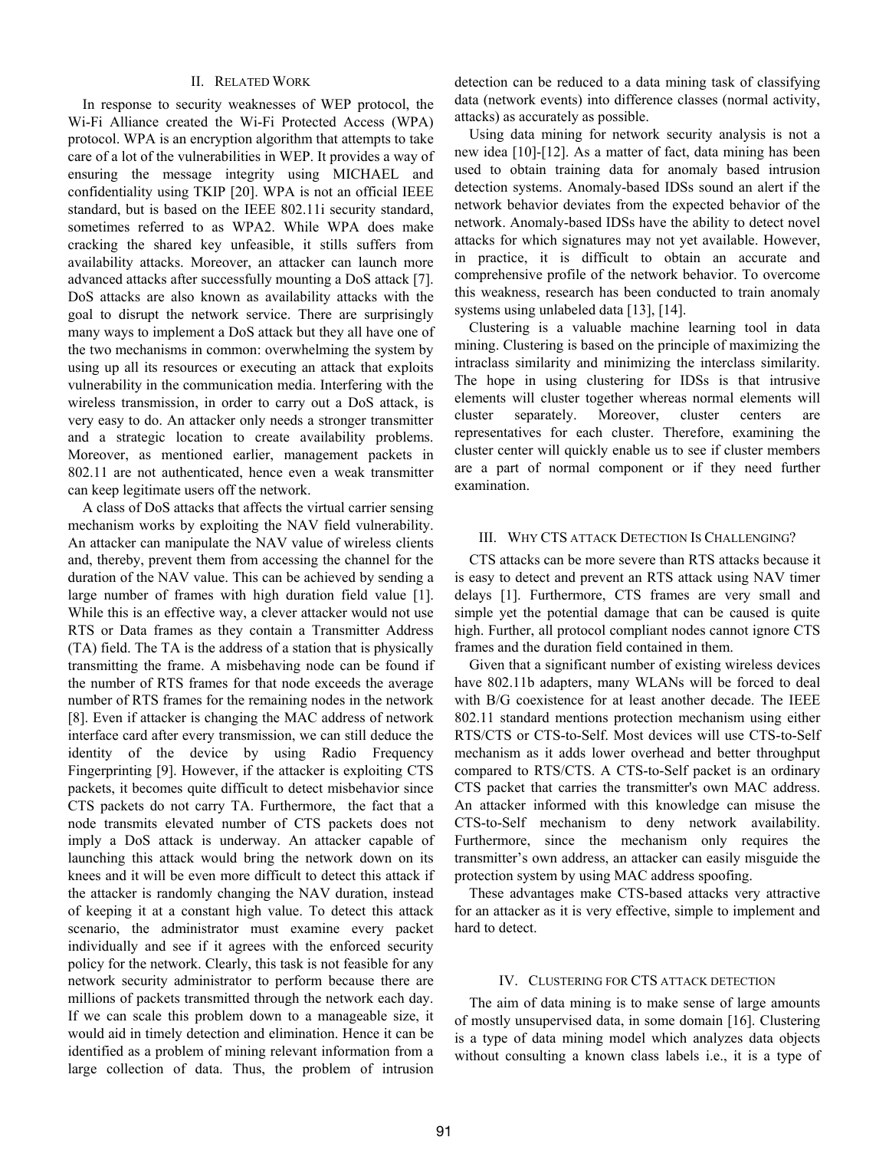# II. RELATED WORK

In response to security weaknesses of WEP protocol, the Wi-Fi Alliance created the Wi-Fi Protected Access (WPA) protocol. WPA is an encryption algorithm that attempts to take care of a lot of the vulnerabilities in WEP. It provides a way of ensuring the message integrity using MICHAEL and confidentiality using TKIP [20]. WPA is not an official IEEE standard, but is based on the IEEE 802.11i security standard, sometimes referred to as WPA2. While WPA does make cracking the shared key unfeasible, it stills suffers from availability attacks. Moreover, an attacker can launch more advanced attacks after successfully mounting a DoS attack [7]. DoS attacks are also known as availability attacks with the goal to disrupt the network service. There are surprisingly many ways to implement a DoS attack but they all have one of the two mechanisms in common: overwhelming the system by using up all its resources or executing an attack that exploits vulnerability in the communication media. Interfering with the wireless transmission, in order to carry out a DoS attack, is very easy to do. An attacker only needs a stronger transmitter and a strategic location to create availability problems. Moreover, as mentioned earlier, management packets in 802.11 are not authenticated, hence even a weak transmitter can keep legitimate users off the network.

A class of DoS attacks that affects the virtual carrier sensing mechanism works by exploiting the NAV field vulnerability. An attacker can manipulate the NAV value of wireless clients and, thereby, prevent them from accessing the channel for the duration of the NAV value. This can be achieved by sending a large number of frames with high duration field value [1]. While this is an effective way, a clever attacker would not use RTS or Data frames as they contain a Transmitter Address (TA) field. The TA is the address of a station that is physically transmitting the frame. A misbehaving node can be found if the number of RTS frames for that node exceeds the average number of RTS frames for the remaining nodes in the network [8]. Even if attacker is changing the MAC address of network interface card after every transmission, we can still deduce the identity of the device by using Radio Frequency Fingerprinting [9]. However, if the attacker is exploiting CTS packets, it becomes quite difficult to detect misbehavior since CTS packets do not carry TA. Furthermore, the fact that a node transmits elevated number of CTS packets does not imply a DoS attack is underway. An attacker capable of launching this attack would bring the network down on its knees and it will be even more difficult to detect this attack if the attacker is randomly changing the NAV duration, instead of keeping it at a constant high value. To detect this attack scenario, the administrator must examine every packet individually and see if it agrees with the enforced security policy for the network. Clearly, this task is not feasible for any network security administrator to perform because there are millions of packets transmitted through the network each day. If we can scale this problem down to a manageable size, it would aid in timely detection and elimination. Hence it can be identified as a problem of mining relevant information from a large collection of data. Thus, the problem of intrusion

detection can be reduced to a data mining task of classifying data (network events) into difference classes (normal activity, attacks) as accurately as possible.

Using data mining for network security analysis is not a new idea [10]-[12]. As a matter of fact, data mining has been used to obtain training data for anomaly based intrusion detection systems. Anomaly-based IDSs sound an alert if the network behavior deviates from the expected behavior of the network. Anomaly-based IDSs have the ability to detect novel attacks for which signatures may not yet available. However, in practice, it is difficult to obtain an accurate and comprehensive profile of the network behavior. To overcome this weakness, research has been conducted to train anomaly systems using unlabeled data [13], [14].

Clustering is a valuable machine learning tool in data mining. Clustering is based on the principle of maximizing the intraclass similarity and minimizing the interclass similarity. The hope in using clustering for IDSs is that intrusive elements will cluster together whereas normal elements will cluster separately. Moreover, cluster centers are representatives for each cluster. Therefore, examining the cluster center will quickly enable us to see if cluster members are a part of normal component or if they need further examination.

# III. WHY CTS ATTACK DETECTION IS CHALLENGING?

CTS attacks can be more severe than RTS attacks because it is easy to detect and prevent an RTS attack using NAV timer delays [1]. Furthermore, CTS frames are very small and simple yet the potential damage that can be caused is quite high. Further, all protocol compliant nodes cannot ignore CTS frames and the duration field contained in them.

Given that a significant number of existing wireless devices have 802.11b adapters, many WLANs will be forced to deal with B/G coexistence for at least another decade. The IEEE 802.11 standard mentions protection mechanism using either RTS/CTS or CTS-to-Self. Most devices will use CTS-to-Self mechanism as it adds lower overhead and better throughput compared to RTS/CTS. A CTS-to-Self packet is an ordinary CTS packet that carries the transmitter's own MAC address. An attacker informed with this knowledge can misuse the CTS-to-Self mechanism to deny network availability. Furthermore, since the mechanism only requires the transmitter's own address, an attacker can easily misguide the protection system by using MAC address spoofing.

These advantages make CTS-based attacks very attractive for an attacker as it is very effective, simple to implement and hard to detect.

#### IV. CLUSTERING FOR CTS ATTACK DETECTION

The aim of data mining is to make sense of large amounts of mostly unsupervised data, in some domain [16]. Clustering is a type of data mining model which analyzes data objects without consulting a known class labels i.e., it is a type of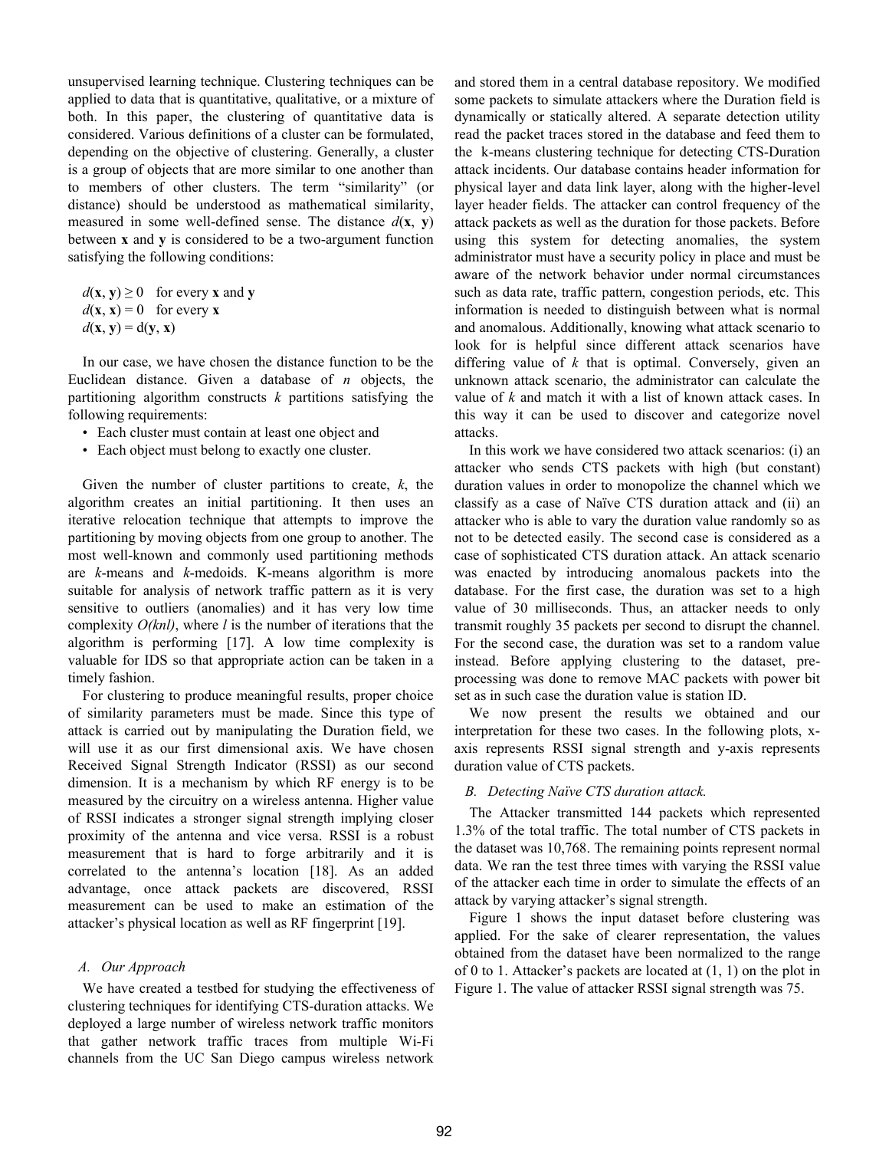unsupervised learning technique. Clustering techniques can be applied to data that is quantitative, qualitative, or a mixture of both. In this paper, the clustering of quantitative data is considered. Various definitions of a cluster can be formulated, depending on the objective of clustering. Generally, a cluster is a group of objects that are more similar to one another than to members of other clusters. The term "similarity" (or distance) should be understood as mathematical similarity, measured in some well-defined sense. The distance *d*(**x**, **y**) between **x** and **y** is considered to be a two-argument function satisfying the following conditions:

 $d$ **(x, y)**  $\geq$  0 for every **x** and **y**  $d$ (**x**, **x**) = 0 for every **x**  $d$ **(** $\bf{x}$ **,**  $\bf{y}$ **)** = d( $\bf{y}$ ,  $\bf{x}$ )

In our case, we have chosen the distance function to be the Euclidean distance. Given a database of *n* objects, the partitioning algorithm constructs *k* partitions satisfying the following requirements:

- Each cluster must contain at least one object and
- Each object must belong to exactly one cluster.

Given the number of cluster partitions to create, *k*, the algorithm creates an initial partitioning. It then uses an iterative relocation technique that attempts to improve the partitioning by moving objects from one group to another. The most well-known and commonly used partitioning methods are *k*-means and *k*-medoids. K-means algorithm is more suitable for analysis of network traffic pattern as it is very sensitive to outliers (anomalies) and it has very low time complexity *O(knl)*, where *l* is the number of iterations that the algorithm is performing [17]. A low time complexity is valuable for IDS so that appropriate action can be taken in a timely fashion.

For clustering to produce meaningful results, proper choice of similarity parameters must be made. Since this type of attack is carried out by manipulating the Duration field, we will use it as our first dimensional axis. We have chosen Received Signal Strength Indicator (RSSI) as our second dimension. It is a mechanism by which RF energy is to be measured by the circuitry on a wireless antenna. Higher value of RSSI indicates a stronger signal strength implying closer proximity of the antenna and vice versa. RSSI is a robust measurement that is hard to forge arbitrarily and it is correlated to the antenna's location [18]. As an added advantage, once attack packets are discovered, RSSI measurement can be used to make an estimation of the attacker's physical location as well as RF fingerprint [19].

# *A. Our Approach*

We have created a testbed for studying the effectiveness of clustering techniques for identifying CTS-duration attacks. We deployed a large number of wireless network traffic monitors that gather network traffic traces from multiple Wi-Fi channels from the UC San Diego campus wireless network

and stored them in a central database repository. We modified some packets to simulate attackers where the Duration field is dynamically or statically altered. A separate detection utility read the packet traces stored in the database and feed them to the k-means clustering technique for detecting CTS-Duration attack incidents. Our database contains header information for physical layer and data link layer, along with the higher-level layer header fields. The attacker can control frequency of the attack packets as well as the duration for those packets. Before using this system for detecting anomalies, the system administrator must have a security policy in place and must be aware of the network behavior under normal circumstances such as data rate, traffic pattern, congestion periods, etc. This information is needed to distinguish between what is normal and anomalous. Additionally, knowing what attack scenario to look for is helpful since different attack scenarios have differing value of *k* that is optimal. Conversely, given an unknown attack scenario, the administrator can calculate the value of *k* and match it with a list of known attack cases. In this way it can be used to discover and categorize novel attacks.

In this work we have considered two attack scenarios: (i) an attacker who sends CTS packets with high (but constant) duration values in order to monopolize the channel which we classify as a case of Naïve CTS duration attack and (ii) an attacker who is able to vary the duration value randomly so as not to be detected easily. The second case is considered as a case of sophisticated CTS duration attack. An attack scenario was enacted by introducing anomalous packets into the database. For the first case, the duration was set to a high value of 30 milliseconds. Thus, an attacker needs to only transmit roughly 35 packets per second to disrupt the channel. For the second case, the duration was set to a random value instead. Before applying clustering to the dataset, preprocessing was done to remove MAC packets with power bit set as in such case the duration value is station ID.

We now present the results we obtained and our interpretation for these two cases. In the following plots, xaxis represents RSSI signal strength and y-axis represents duration value of CTS packets.

# *B. Detecting Naïve CTS duration attack.*

The Attacker transmitted 144 packets which represented 1.3% of the total traffic. The total number of CTS packets in the dataset was 10,768. The remaining points represent normal data. We ran the test three times with varying the RSSI value of the attacker each time in order to simulate the effects of an attack by varying attacker's signal strength.

Figure 1 shows the input dataset before clustering was applied. For the sake of clearer representation, the values obtained from the dataset have been normalized to the range of 0 to 1. Attacker's packets are located at (1, 1) on the plot in Figure 1. The value of attacker RSSI signal strength was 75.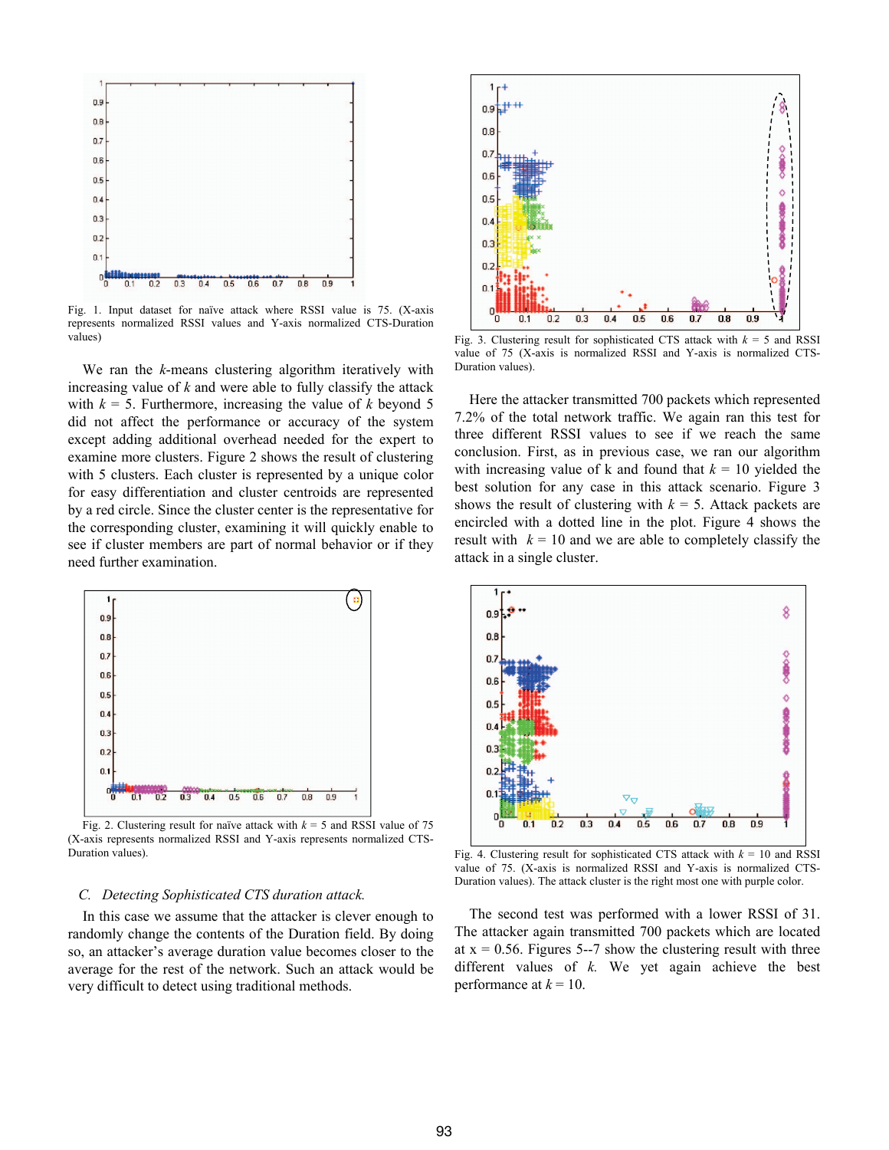

Fig. 1. Input dataset for naïve attack where RSSI value is 75. (X-axis represents normalized RSSI values and Y-axis normalized CTS-Duration values)

We ran the *k*-means clustering algorithm iteratively with increasing value of *k* and were able to fully classify the attack with  $k = 5$ . Furthermore, increasing the value of  $k$  beyond 5 did not affect the performance or accuracy of the system except adding additional overhead needed for the expert to examine more clusters. Figure 2 shows the result of clustering with 5 clusters. Each cluster is represented by a unique color for easy differentiation and cluster centroids are represented by a red circle. Since the cluster center is the representative for the corresponding cluster, examining it will quickly enable to see if cluster members are part of normal behavior or if they need further examination.



Fig. 2. Clustering result for naïve attack with  $k = 5$  and RSSI value of 75 (X-axis represents normalized RSSI and Y-axis represents normalized CTS-Duration values).

# *C. Detecting Sophisticated CTS duration attack.*

In this case we assume that the attacker is clever enough to randomly change the contents of the Duration field. By doing so, an attacker's average duration value becomes closer to the average for the rest of the network. Such an attack would be very difficult to detect using traditional methods.



Fig. 3. Clustering result for sophisticated CTS attack with  $k = 5$  and RSSI value of 75 (X-axis is normalized RSSI and Y-axis is normalized CTS-Duration values).

Here the attacker transmitted 700 packets which represented 7.2% of the total network traffic. We again ran this test for three different RSSI values to see if we reach the same conclusion. First, as in previous case, we ran our algorithm with increasing value of k and found that  $k = 10$  yielded the best solution for any case in this attack scenario. Figure 3 shows the result of clustering with  $k = 5$ . Attack packets are encircled with a dotted line in the plot. Figure 4 shows the result with  $k = 10$  and we are able to completely classify the attack in a single cluster.



Fig. 4. Clustering result for sophisticated CTS attack with  $k = 10$  and RSSI value of 75. (X-axis is normalized RSSI and Y-axis is normalized CTS-Duration values). The attack cluster is the right most one with purple color.

The second test was performed with a lower RSSI of 31. The attacker again transmitted 700 packets which are located at  $x = 0.56$ . Figures 5--7 show the clustering result with three different values of *k.* We yet again achieve the best performance at  $k = 10$ .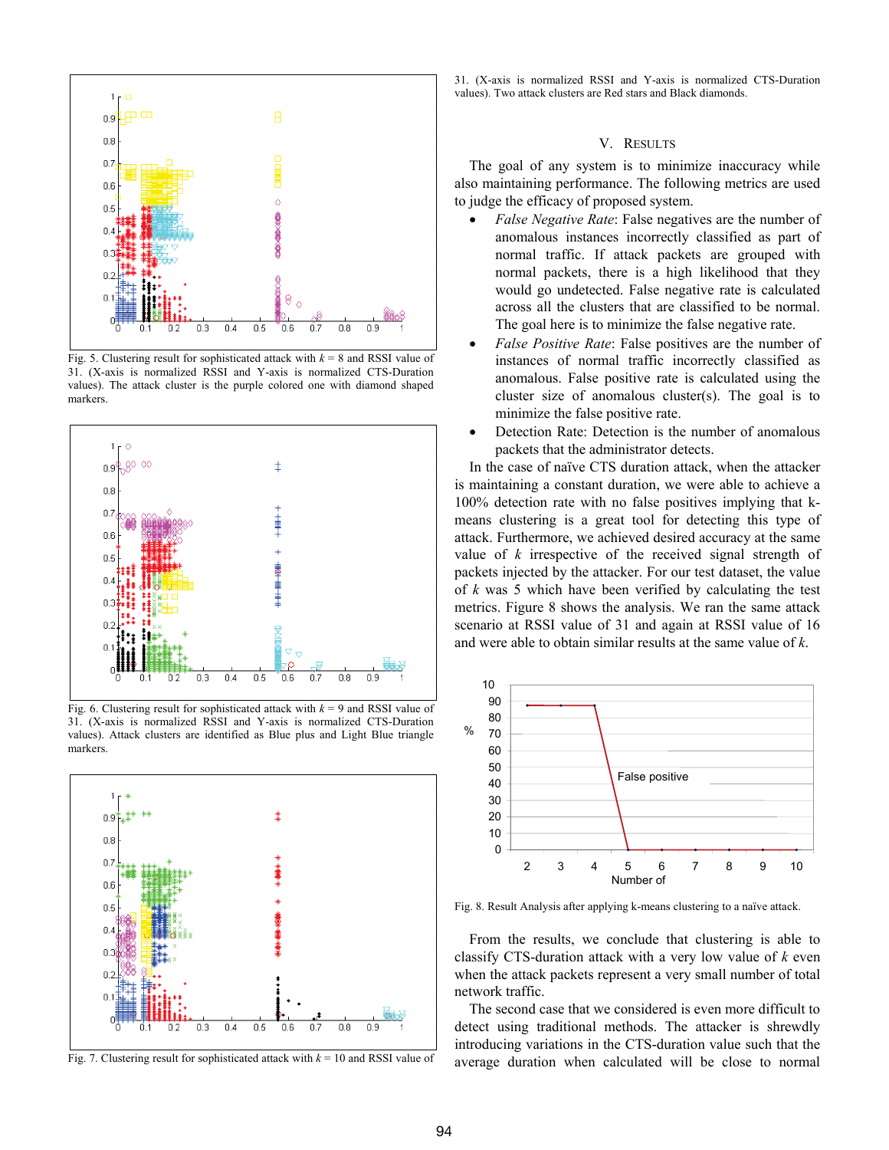

Fig. 5. Clustering result for sophisticated attack with  $k = 8$  and RSSI value of 31. (X-axis is normalized RSSI and Y-axis is normalized CTS-Duration values). The attack cluster is the purple colored one with diamond shaped markers.



Fig. 6. Clustering result for sophisticated attack with  $k = 9$  and RSSI value of 31. (X-axis is normalized RSSI and Y-axis is normalized CTS-Duration values). Attack clusters are identified as Blue plus and Light Blue triangle markers.



Fig. 7. Clustering result for sophisticated attack with  $k = 10$  and RSSI value of

31. (X-axis is normalized RSSI and Y-axis is normalized CTS-Duration values). Two attack clusters are Red stars and Black diamonds.

# V. RESULTS

The goal of any system is to minimize inaccuracy while also maintaining performance. The following metrics are used to judge the efficacy of proposed system.

- *False Negative Rate*: False negatives are the number of anomalous instances incorrectly classified as part of normal traffic. If attack packets are grouped with normal packets, there is a high likelihood that they would go undetected. False negative rate is calculated across all the clusters that are classified to be normal. The goal here is to minimize the false negative rate.
- x *False Positive Rate*: False positives are the number of instances of normal traffic incorrectly classified as anomalous. False positive rate is calculated using the cluster size of anomalous cluster(s). The goal is to minimize the false positive rate.
- Detection Rate: Detection is the number of anomalous packets that the administrator detects.

In the case of naïve CTS duration attack, when the attacker is maintaining a constant duration, we were able to achieve a 100% detection rate with no false positives implying that kmeans clustering is a great tool for detecting this type of attack. Furthermore, we achieved desired accuracy at the same value of *k* irrespective of the received signal strength of packets injected by the attacker. For our test dataset, the value of *k* was 5 which have been verified by calculating the test metrics. Figure 8 shows the analysis. We ran the same attack scenario at RSSI value of 31 and again at RSSI value of 16 and were able to obtain similar results at the same value of *k*.



Fig. 8. Result Analysis after applying k-means clustering to a naïve attack.

From the results, we conclude that clustering is able to classify CTS-duration attack with a very low value of *k* even when the attack packets represent a very small number of total network traffic.

The second case that we considered is even more difficult to detect using traditional methods. The attacker is shrewdly introducing variations in the CTS-duration value such that the average duration when calculated will be close to normal